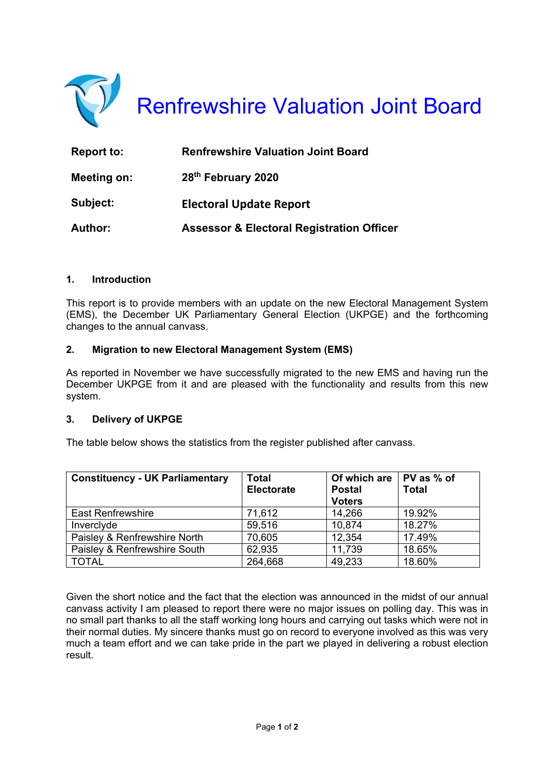

| Report to:     | <b>Renfrewshire Valuation Joint Board</b>            |
|----------------|------------------------------------------------------|
| Meeting on:    | 28th February 2020                                   |
| Subject:       | <b>Electoral Update Report</b>                       |
| <b>Author:</b> | <b>Assessor &amp; Electoral Registration Officer</b> |

## **1. Introduction**

This report is to provide members with an update on the new Electoral Management System (EMS), the December UK Parliamentary General Election (UKPGE) and the forthcoming changes to the annual canvass.

#### **2. Migration to new Electoral Management System (EMS)**

As reported in November we have successfully migrated to the new EMS and having run the December UKPGE from it and are pleased with the functionality and results from this new system.

#### **3. Delivery of UKPGE**

The table below shows the statistics from the register published after canvass.

| <b>Constituency - UK Parliamentary</b> | <b>Total</b>      | Of which are $\vert$ PV as % of |              |
|----------------------------------------|-------------------|---------------------------------|--------------|
|                                        | <b>Electorate</b> | <b>Postal</b>                   | <b>Total</b> |
|                                        |                   | <b>Voters</b>                   |              |
| <b>East Renfrewshire</b>               | 71,612            | 14,266                          | 19.92%       |
| Inverclyde                             | 59,516            | 10,874                          | 18.27%       |
| Paisley & Renfrewshire North           | 70,605            | 12,354                          | 17.49%       |
| Paisley & Renfrewshire South           | 62,935            | 11,739                          | 18.65%       |
| <b>TOTAL</b>                           | 264,668           | 49,233                          | 18.60%       |

Given the short notice and the fact that the election was announced in the midst of our annual canvass activity I am pleased to report there were no major issues on polling day. This was in no small part thanks to all the staff working long hours and carrying out tasks which were not in their normal duties. My sincere thanks must go on record to everyone involved as this was very much a team effort and we can take pride in the part we played in delivering a robust election result.